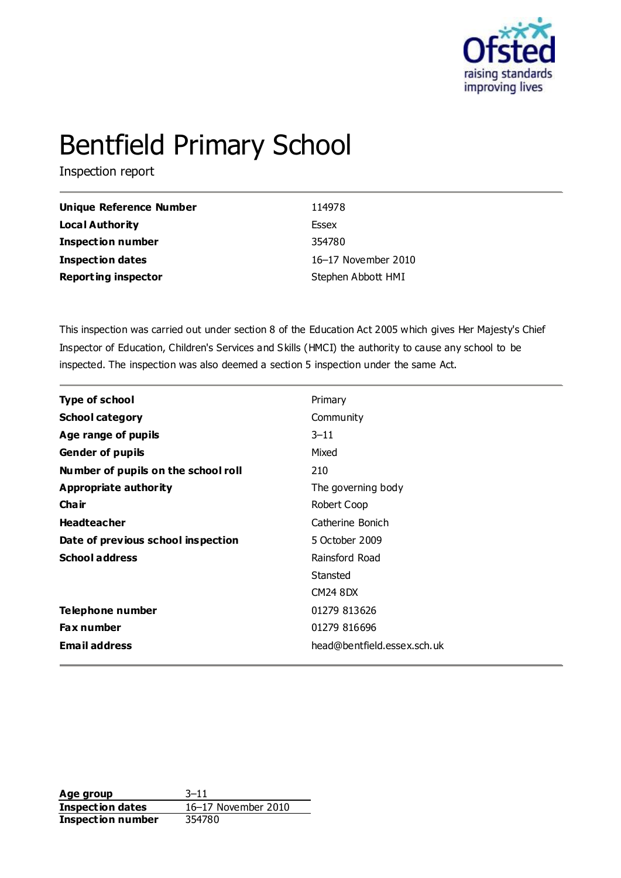

# Bentfield Primary School

Inspection report

| <b>Unique Reference Number</b> | 114978              |
|--------------------------------|---------------------|
| Local Authority                | Essex               |
| <b>Inspection number</b>       | 354780              |
| Inspection dates               | 16-17 November 2010 |
| <b>Reporting inspector</b>     | Stephen Abbott HMI  |

This inspection was carried out under section 8 of the Education Act 2005 which gives Her Majesty's Chief Inspector of Education, Children's Services and Skills (HMCI) the authority to cause any school to be inspected. The inspection was also deemed a section 5 inspection under the same Act.

| <b>Type of school</b>               | Primary                     |
|-------------------------------------|-----------------------------|
| <b>School category</b>              | Community                   |
| Age range of pupils                 | $3 - 11$                    |
| <b>Gender of pupils</b>             | Mixed                       |
| Number of pupils on the school roll | 210                         |
| <b>Appropriate authority</b>        | The governing body          |
| Cha ir                              | Robert Coop                 |
| <b>Headteacher</b>                  | Catherine Bonich            |
| Date of previous school inspection  | 5 October 2009              |
| <b>School address</b>               | Rainsford Road              |
|                                     | Stansted                    |
|                                     | <b>CM24 8DX</b>             |
| <b>Telephone number</b>             | 01279 813626                |
| Fax number                          | 01279 816696                |
| <b>Email address</b>                | head@bentfield.essex.sch.uk |

**Age group** 3–11 **Inspection dates** 16–17 November 2010 **Inspection number** 354780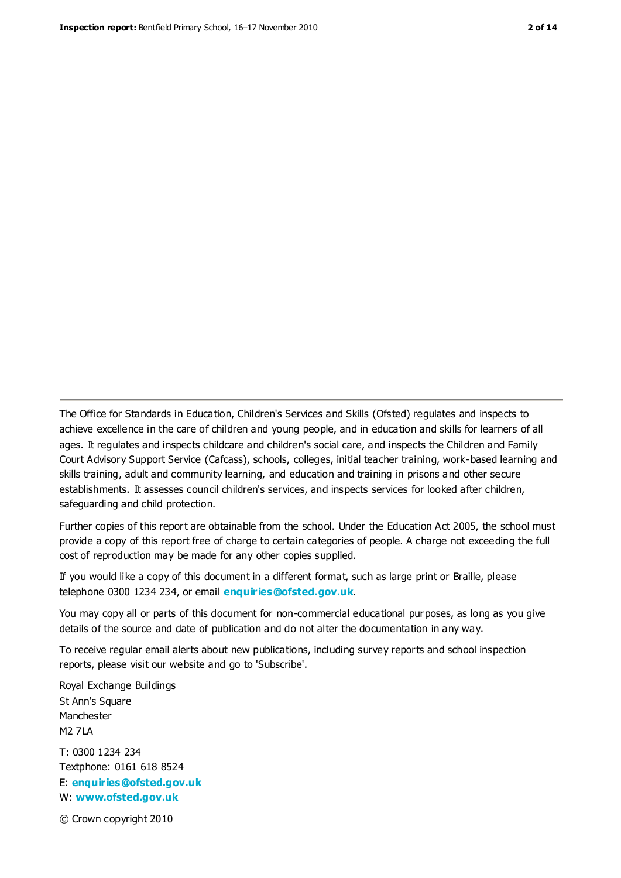The Office for Standards in Education, Children's Services and Skills (Ofsted) regulates and inspects to achieve excellence in the care of children and young people, and in education and skills for learners of all ages. It regulates and inspects childcare and children's social care, and inspects the Children and Family Court Advisory Support Service (Cafcass), schools, colleges, initial teacher training, work-based learning and skills training, adult and community learning, and education and training in prisons and other secure establishments. It assesses council children's services, and inspects services for looked after children, safeguarding and child protection.

Further copies of this report are obtainable from the school. Under the Education Act 2005, the school must provide a copy of this report free of charge to certain categories of people. A charge not exceeding the full cost of reproduction may be made for any other copies supplied.

If you would like a copy of this document in a different format, such as large print or Braille, please telephone 0300 1234 234, or email **[enquiries@ofsted.gov.uk](mailto:enquiries@ofsted.gov.uk)**.

You may copy all or parts of this document for non-commercial educational purposes, as long as you give details of the source and date of publication and do not alter the documentation in any way.

To receive regular email alerts about new publications, including survey reports and school inspection reports, please visit our website and go to 'Subscribe'.

Royal Exchange Buildings St Ann's Square Manchester M2 7LA T: 0300 1234 234 Textphone: 0161 618 8524 E: **[enquiries@ofsted.gov.uk](mailto:enquiries@ofsted.gov.uk)** W: **[www.ofsted.gov.uk](http://www.ofsted.gov.uk/)**

© Crown copyright 2010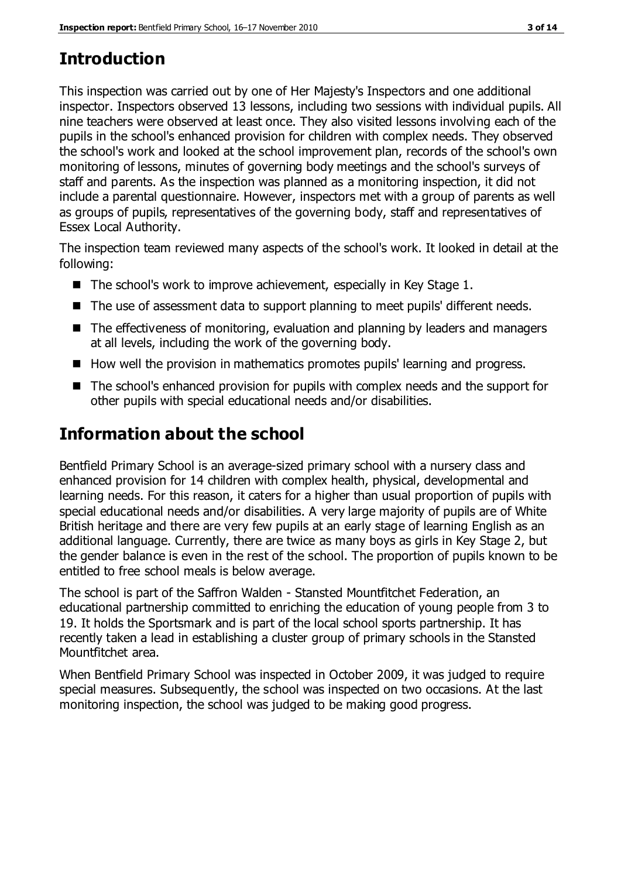# **Introduction**

This inspection was carried out by one of Her Majesty's Inspectors and one additional inspector. Inspectors observed 13 lessons, including two sessions with individual pupils. All nine teachers were observed at least once. They also visited lessons involving each of the pupils in the school's enhanced provision for children with complex needs. They observed the school's work and looked at the school improvement plan, records of the school's own monitoring of lessons, minutes of governing body meetings and the school's surveys of staff and parents. As the inspection was planned as a monitoring inspection, it did not include a parental questionnaire. However, inspectors met with a group of parents as well as groups of pupils, representatives of the governing body, staff and representatives of Essex Local Authority.

The inspection team reviewed many aspects of the school's work. It looked in detail at the following:

- $\blacksquare$  The school's work to improve achievement, especially in Key Stage 1.
- The use of assessment data to support planning to meet pupils' different needs.
- The effectiveness of monitoring, evaluation and planning by leaders and managers at all levels, including the work of the governing body.
- How well the provision in mathematics promotes pupils' learning and progress.
- The school's enhanced provision for pupils with complex needs and the support for other pupils with special educational needs and/or disabilities.

# **Information about the school**

Bentfield Primary School is an average-sized primary school with a nursery class and enhanced provision for 14 children with complex health, physical, developmental and learning needs. For this reason, it caters for a higher than usual proportion of pupils with special educational needs and/or disabilities. A very large majority of pupils are of White British heritage and there are very few pupils at an early stage of learning English as an additional language. Currently, there are twice as many boys as girls in Key Stage 2, but the gender balance is even in the rest of the school. The proportion of pupils known to be entitled to free school meals is below average.

The school is part of the Saffron Walden - Stansted Mountfitchet Federation, an educational partnership committed to enriching the education of young people from 3 to 19. It holds the Sportsmark and is part of the local school sports partnership. It has recently taken a lead in establishing a cluster group of primary schools in the Stansted Mountfitchet area.

When Bentfield Primary School was inspected in October 2009, it was judged to require special measures. Subsequently, the school was inspected on two occasions. At the last monitoring inspection, the school was judged to be making good progress.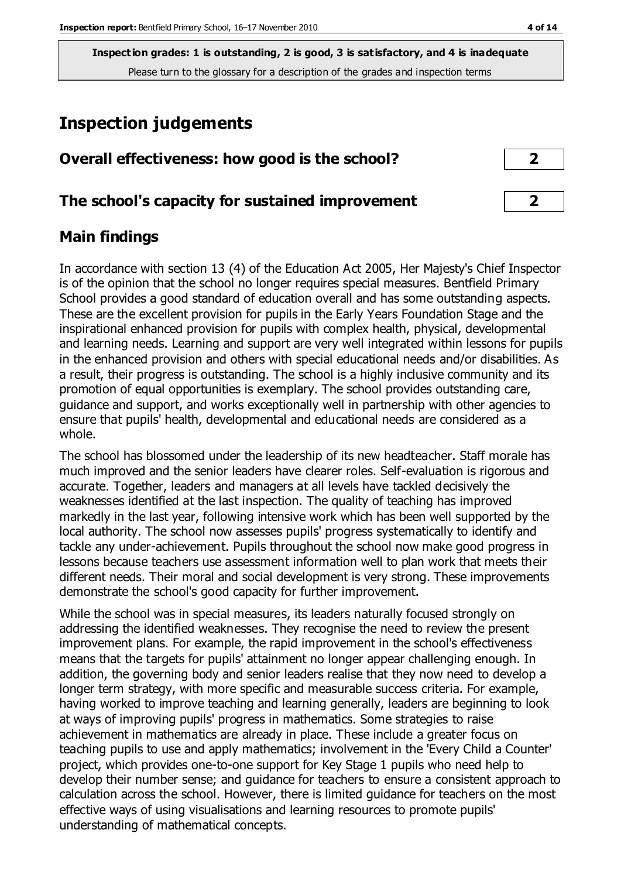# **Inspection judgements**

| Overall effectiveness: how good is the school?  |  |
|-------------------------------------------------|--|
| The school's capacity for sustained improvement |  |

#### **Main findings**

In accordance with section 13 (4) of the Education Act 2005, Her Majesty's Chief Inspector is of the opinion that the school no longer requires special measures. Bentfield Primary School provides a good standard of education overall and has some outstanding aspects. These are the excellent provision for pupils in the Early Years Foundation Stage and the inspirational enhanced provision for pupils with complex health, physical, developmental and learning needs. Learning and support are very well integrated within lessons for pupils in the enhanced provision and others with special educational needs and/or disabilities. As a result, their progress is outstanding. The school is a highly inclusive community and its promotion of equal opportunities is exemplary. The school provides outstanding care, guidance and support, and works exceptionally well in partnership with other agencies to ensure that pupils' health, developmental and educational needs are considered as a whole.

The school has blossomed under the leadership of its new headteacher. Staff morale has much improved and the senior leaders have clearer roles. Self-evaluation is rigorous and accurate. Together, leaders and managers at all levels have tackled decisively the weaknesses identified at the last inspection. The quality of teaching has improved markedly in the last year, following intensive work which has been well supported by the local authority. The school now assesses pupils' progress systematically to identify and tackle any under-achievement. Pupils throughout the school now make good progress in lessons because teachers use assessment information well to plan work that meets their different needs. Their moral and social development is very strong. These improvements demonstrate the school's good capacity for further improvement.

While the school was in special measures, its leaders naturally focused strongly on addressing the identified weaknesses. They recognise the need to review the present improvement plans. For example, the rapid improvement in the school's effectiveness means that the targets for pupils' attainment no longer appear challenging enough. In addition, the governing body and senior leaders realise that they now need to develop a longer term strategy, with more specific and measurable success criteria. For example, having worked to improve teaching and learning generally, leaders are beginning to look at ways of improving pupils' progress in mathematics. Some strategies to raise achievement in mathematics are already in place. These include a greater focus on teaching pupils to use and apply mathematics; involvement in the 'Every Child a Counter' project, which provides one-to-one support for Key Stage 1 pupils who need help to develop their number sense; and guidance for teachers to ensure a consistent approach to calculation across the school. However, there is limited guidance for teachers on the most effective ways of using visualisations and learning resources to promote pupils' understanding of mathematical concepts.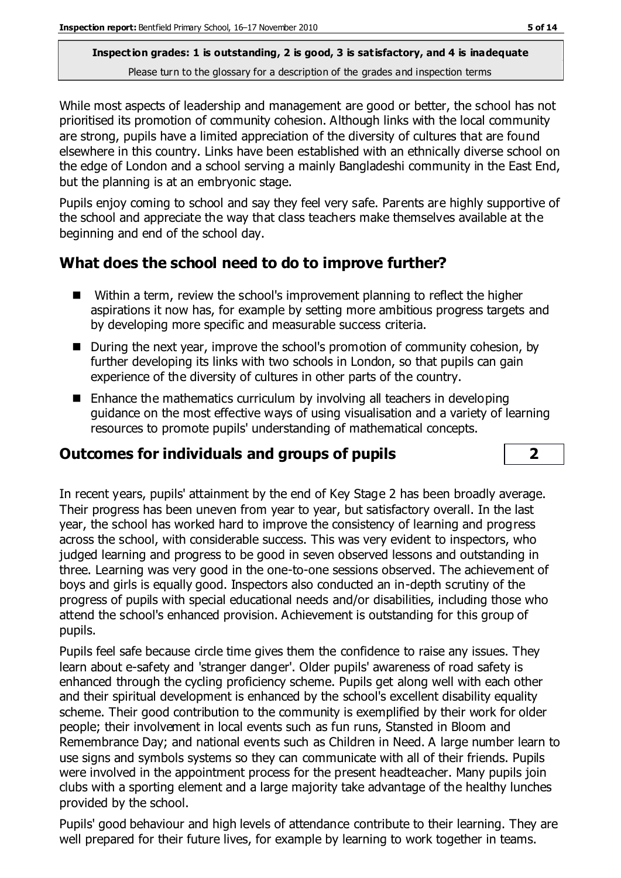While most aspects of leadership and management are good or better, the school has not prioritised its promotion of community cohesion. Although links with the local community are strong, pupils have a limited appreciation of the diversity of cultures that are found elsewhere in this country. Links have been established with an ethnically diverse school on the edge of London and a school serving a mainly Bangladeshi community in the East End, but the planning is at an embryonic stage.

Pupils enjoy coming to school and say they feel very safe. Parents are highly supportive of the school and appreciate the way that class teachers make themselves available at the beginning and end of the school day.

### **What does the school need to do to improve further?**

- Within a term, review the school's improvement planning to reflect the higher aspirations it now has, for example by setting more ambitious progress targets and by developing more specific and measurable success criteria.
- During the next year, improve the school's promotion of community cohesion, by further developing its links with two schools in London, so that pupils can gain experience of the diversity of cultures in other parts of the country.
- $\blacksquare$  Enhance the mathematics curriculum by involving all teachers in developing guidance on the most effective ways of using visualisation and a variety of learning resources to promote pupils' understanding of mathematical concepts.

### **Outcomes for individuals and groups of pupils 2**

In recent years, pupils' attainment by the end of Key Stage 2 has been broadly average. Their progress has been uneven from year to year, but satisfactory overall. In the last year, the school has worked hard to improve the consistency of learning and progress across the school, with considerable success. This was very evident to inspectors, who judged learning and progress to be good in seven observed lessons and outstanding in three. Learning was very good in the one-to-one sessions observed. The achievement of boys and girls is equally good. Inspectors also conducted an in-depth scrutiny of the progress of pupils with special educational needs and/or disabilities, including those who attend the school's enhanced provision. Achievement is outstanding for this group of pupils.

Pupils feel safe because circle time gives them the confidence to raise any issues. They learn about e-safety and 'stranger danger'. Older pupils' awareness of road safety is enhanced through the cycling proficiency scheme. Pupils get along well with each other and their spiritual development is enhanced by the school's excellent disability equality scheme. Their good contribution to the community is exemplified by their work for older people; their involvement in local events such as fun runs, Stansted in Bloom and Remembrance Day; and national events such as Children in Need. A large number learn to use signs and symbols systems so they can communicate with all of their friends. Pupils were involved in the appointment process for the present headteacher. Many pupils join clubs with a sporting element and a large majority take advantage of the healthy lunches provided by the school.

Pupils' good behaviour and high levels of attendance contribute to their learning. They are well prepared for their future lives, for example by learning to work together in teams.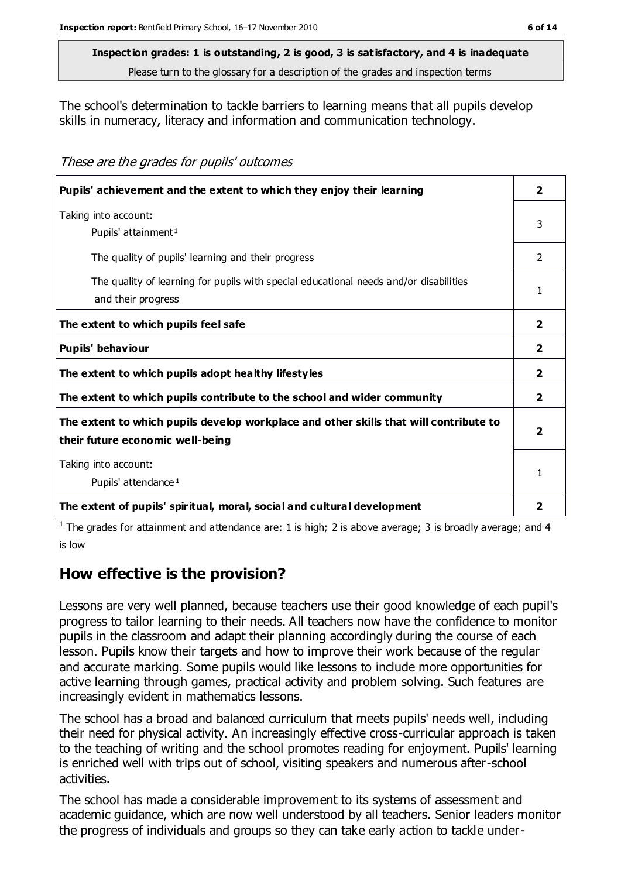# **Inspection grades: 1 is outstanding, 2 is good, 3 is satisfactory, and 4 is inadequate**

Please turn to the glossary for a description of the grades and inspection terms

The school's determination to tackle barriers to learning means that all pupils develop skills in numeracy, literacy and information and communication technology.

These are the grades for pupils' outcomes

| Pupils' achievement and the extent to which they enjoy their learning                                                     |                         |
|---------------------------------------------------------------------------------------------------------------------------|-------------------------|
| Taking into account:<br>Pupils' attainment <sup>1</sup>                                                                   | 3                       |
| The quality of pupils' learning and their progress                                                                        | $\overline{2}$          |
| The quality of learning for pupils with special educational needs and/or disabilities<br>and their progress               | 1                       |
| The extent to which pupils feel safe                                                                                      | $\overline{2}$          |
| Pupils' behaviour                                                                                                         | $\overline{2}$          |
| The extent to which pupils adopt healthy lifestyles                                                                       | $\overline{2}$          |
| The extent to which pupils contribute to the school and wider community                                                   | $\overline{2}$          |
| The extent to which pupils develop workplace and other skills that will contribute to<br>their future economic well-being | $\overline{\mathbf{2}}$ |
| Taking into account:<br>Pupils' attendance <sup>1</sup>                                                                   | 1                       |
| The extent of pupils' spiritual, moral, social and cultural development                                                   | $\overline{2}$          |

<sup>1</sup> The grades for attainment and attendance are: 1 is high; 2 is above average; 3 is broadly average; and 4 is low

## **How effective is the provision?**

Lessons are very well planned, because teachers use their good knowledge of each pupil's progress to tailor learning to their needs. All teachers now have the confidence to monitor pupils in the classroom and adapt their planning accordingly during the course of each lesson. Pupils know their targets and how to improve their work because of the regular and accurate marking. Some pupils would like lessons to include more opportunities for active learning through games, practical activity and problem solving. Such features are increasingly evident in mathematics lessons.

The school has a broad and balanced curriculum that meets pupils' needs well, including their need for physical activity. An increasingly effective cross-curricular approach is taken to the teaching of writing and the school promotes reading for enjoyment. Pupils' learning is enriched well with trips out of school, visiting speakers and numerous after-school activities.

The school has made a considerable improvement to its systems of assessment and academic guidance, which are now well understood by all teachers. Senior leaders monitor the progress of individuals and groups so they can take early action to tackle under-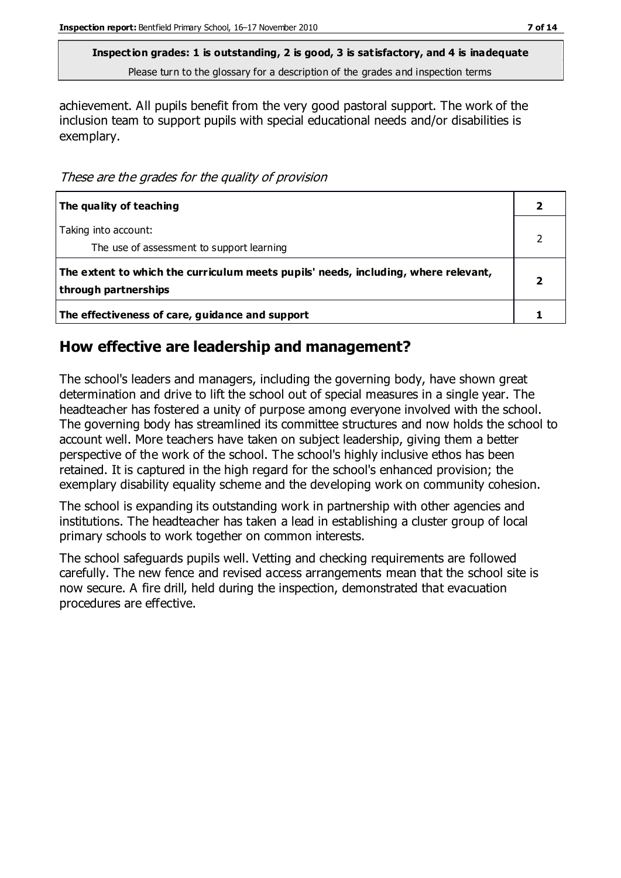achievement. All pupils benefit from the very good pastoral support. The work of the inclusion team to support pupils with special educational needs and/or disabilities is exemplary.

These are the grades for the quality of provision

| The quality of teaching                                                                                    |  |
|------------------------------------------------------------------------------------------------------------|--|
| Taking into account:<br>The use of assessment to support learning                                          |  |
| The extent to which the curriculum meets pupils' needs, including, where relevant,<br>through partnerships |  |
| The effectiveness of care, guidance and support                                                            |  |

#### **How effective are leadership and management?**

The school's leaders and managers, including the governing body, have shown great determination and drive to lift the school out of special measures in a single year. The headteacher has fostered a unity of purpose among everyone involved with the school. The governing body has streamlined its committee structures and now holds the school to account well. More teachers have taken on subject leadership, giving them a better perspective of the work of the school. The school's highly inclusive ethos has been retained. It is captured in the high regard for the school's enhanced provision; the exemplary disability equality scheme and the developing work on community cohesion.

The school is expanding its outstanding work in partnership with other agencies and institutions. The headteacher has taken a lead in establishing a cluster group of local primary schools to work together on common interests.

The school safeguards pupils well. Vetting and checking requirements are followed carefully. The new fence and revised access arrangements mean that the school site is now secure. A fire drill, held during the inspection, demonstrated that evacuation procedures are effective.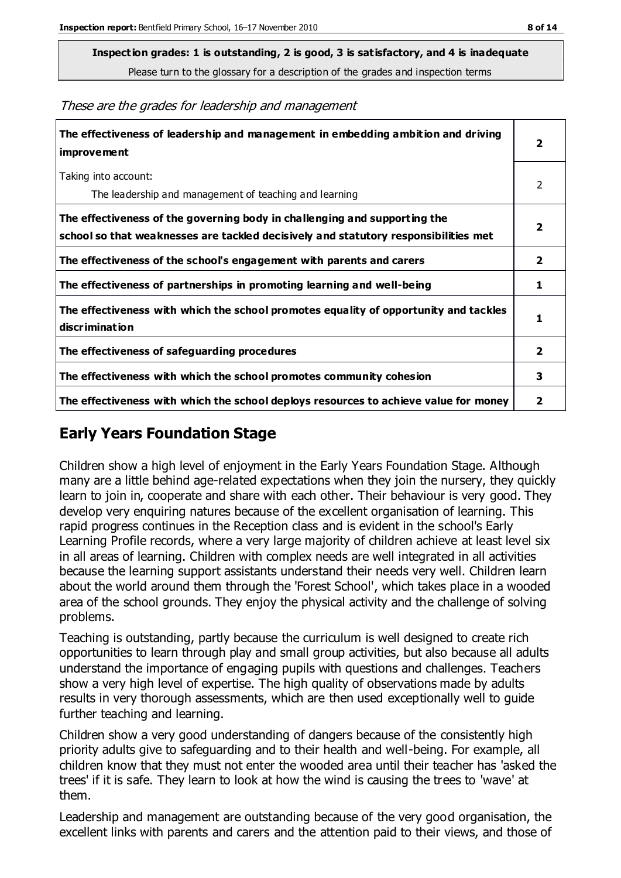**Inspection grades: 1 is outstanding, 2 is good, 3 is satisfactory, and 4 is inadequate**

Please turn to the glossary for a description of the grades and inspection terms

These are the grades for leadership and management

| The effectiveness of leadership and management in embedding ambition and driving<br>improvement                                                                  |                |
|------------------------------------------------------------------------------------------------------------------------------------------------------------------|----------------|
| Taking into account:<br>The leadership and management of teaching and learning                                                                                   | 2              |
| The effectiveness of the governing body in challenging and supporting the<br>school so that weaknesses are tackled decisively and statutory responsibilities met | 2              |
| The effectiveness of the school's engagement with parents and carers                                                                                             | $\mathbf{2}$   |
| The effectiveness of partnerships in promoting learning and well-being                                                                                           | 1              |
| The effectiveness with which the school promotes equality of opportunity and tackles<br>discrimination                                                           | 1              |
| The effectiveness of safeguarding procedures                                                                                                                     | $\overline{2}$ |
| The effectiveness with which the school promotes community cohesion                                                                                              | 3              |
| The effectiveness with which the school deploys resources to achieve value for money                                                                             | 2              |

#### **Early Years Foundation Stage**

Children show a high level of enjoyment in the Early Years Foundation Stage. Although many are a little behind age-related expectations when they join the nursery, they quickly learn to join in, cooperate and share with each other. Their behaviour is very good. They develop very enquiring natures because of the excellent organisation of learning. This rapid progress continues in the Reception class and is evident in the school's Early Learning Profile records, where a very large majority of children achieve at least level six in all areas of learning. Children with complex needs are well integrated in all activities because the learning support assistants understand their needs very well. Children learn about the world around them through the 'Forest School', which takes place in a wooded area of the school grounds. They enjoy the physical activity and the challenge of solving problems.

Teaching is outstanding, partly because the curriculum is well designed to create rich opportunities to learn through play and small group activities, but also because all adults understand the importance of engaging pupils with questions and challenges. Teachers show a very high level of expertise. The high quality of observations made by adults results in very thorough assessments, which are then used exceptionally well to guide further teaching and learning.

Children show a very good understanding of dangers because of the consistently high priority adults give to safeguarding and to their health and well-being. For example, all children know that they must not enter the wooded area until their teacher has 'asked the trees' if it is safe. They learn to look at how the wind is causing the trees to 'wave' at them.

Leadership and management are outstanding because of the very good organisation, the excellent links with parents and carers and the attention paid to their views, and those of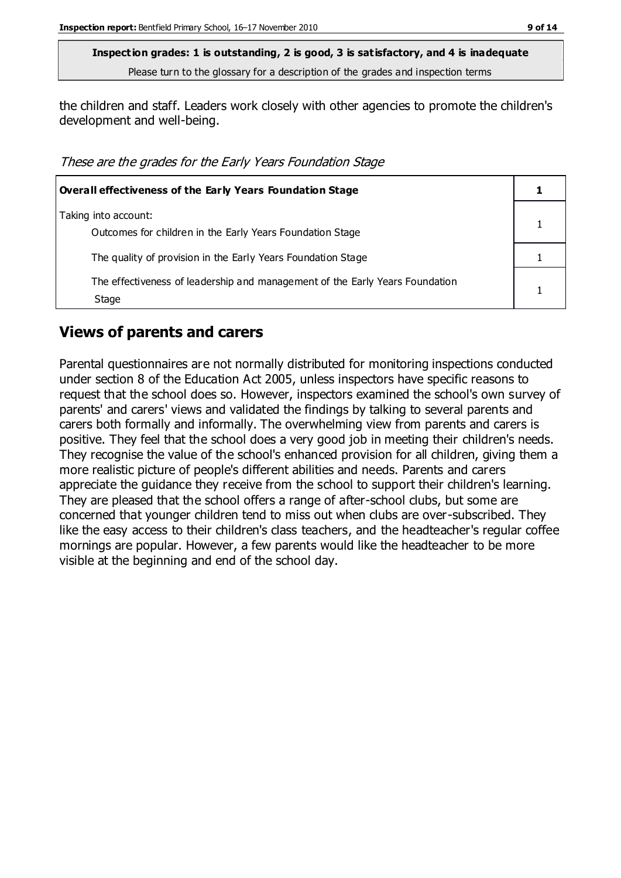the children and staff. Leaders work closely with other agencies to promote the children's development and well-being.

These are the grades for the Early Years Foundation Stage

| Overall effectiveness of the Early Years Foundation Stage                             |  |
|---------------------------------------------------------------------------------------|--|
| Taking into account:<br>Outcomes for children in the Early Years Foundation Stage     |  |
| The quality of provision in the Early Years Foundation Stage                          |  |
| The effectiveness of leadership and management of the Early Years Foundation<br>Stage |  |

#### **Views of parents and carers**

Parental questionnaires are not normally distributed for monitoring inspections conducted under section 8 of the Education Act 2005, unless inspectors have specific reasons to request that the school does so. However, inspectors examined the school's own survey of parents' and carers' views and validated the findings by talking to several parents and carers both formally and informally. The overwhelming view from parents and carers is positive. They feel that the school does a very good job in meeting their children's needs. They recognise the value of the school's enhanced provision for all children, giving them a more realistic picture of people's different abilities and needs. Parents and carers appreciate the guidance they receive from the school to support their children's learning. They are pleased that the school offers a range of after-school clubs, but some are concerned that younger children tend to miss out when clubs are over-subscribed. They like the easy access to their children's class teachers, and the headteacher's regular coffee mornings are popular. However, a few parents would like the headteacher to be more visible at the beginning and end of the school day.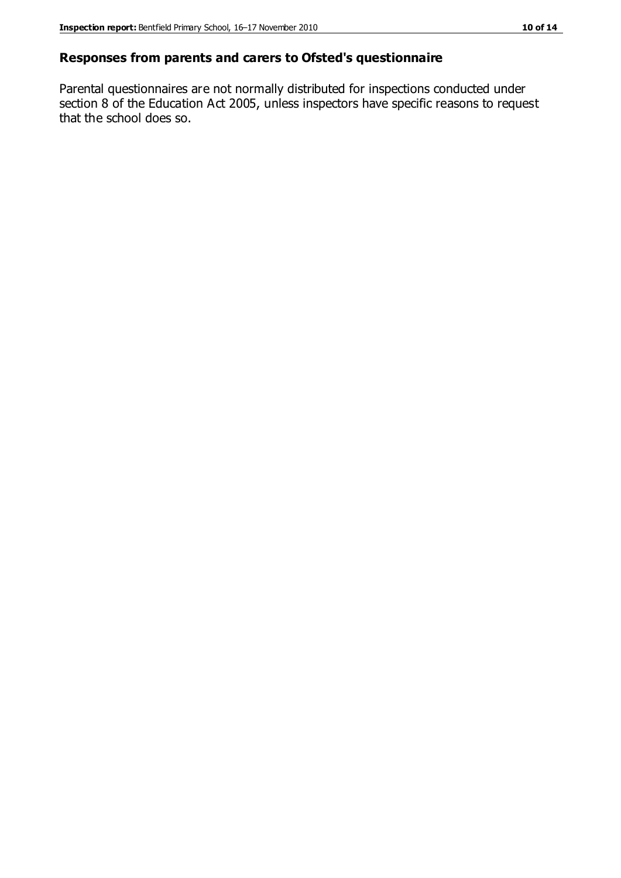#### **Responses from parents and carers to Ofsted's questionnaire**

Parental questionnaires are not normally distributed for inspections conducted under section 8 of the Education Act 2005, unless inspectors have specific reasons to request that the school does so.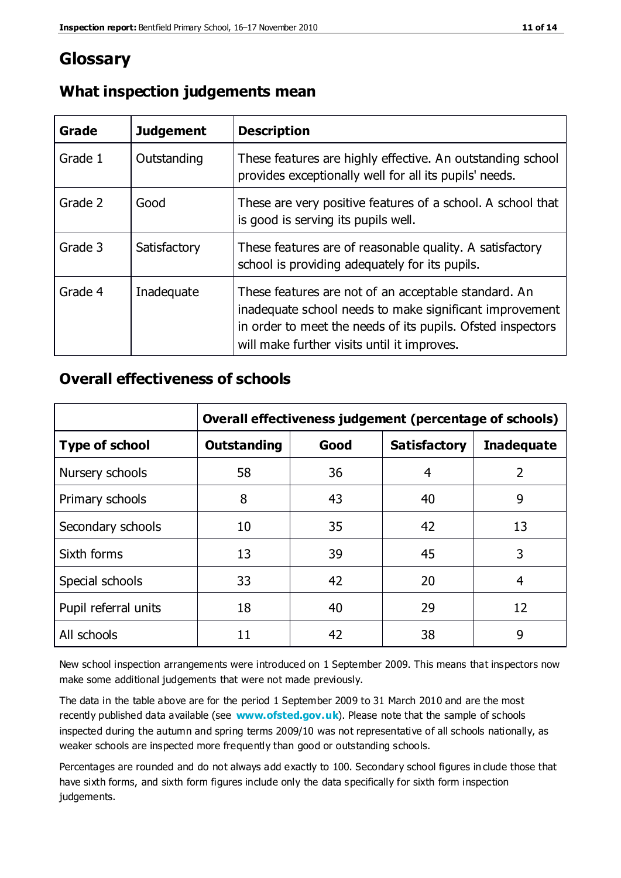## **Glossary**

| Grade   | <b>Judgement</b> | <b>Description</b>                                                                                                                                                                                                            |
|---------|------------------|-------------------------------------------------------------------------------------------------------------------------------------------------------------------------------------------------------------------------------|
| Grade 1 | Outstanding      | These features are highly effective. An outstanding school<br>provides exceptionally well for all its pupils' needs.                                                                                                          |
| Grade 2 | Good             | These are very positive features of a school. A school that<br>is good is serving its pupils well.                                                                                                                            |
| Grade 3 | Satisfactory     | These features are of reasonable quality. A satisfactory<br>school is providing adequately for its pupils.                                                                                                                    |
| Grade 4 | Inadequate       | These features are not of an acceptable standard. An<br>inadequate school needs to make significant improvement<br>in order to meet the needs of its pupils. Ofsted inspectors<br>will make further visits until it improves. |

## **What inspection judgements mean**

## **Overall effectiveness of schools**

|                       | Overall effectiveness judgement (percentage of schools) |      |                     |                   |
|-----------------------|---------------------------------------------------------|------|---------------------|-------------------|
| <b>Type of school</b> | <b>Outstanding</b>                                      | Good | <b>Satisfactory</b> | <b>Inadequate</b> |
| Nursery schools       | 58                                                      | 36   | 4                   | 2                 |
| Primary schools       | 8                                                       | 43   | 40                  | 9                 |
| Secondary schools     | 10                                                      | 35   | 42                  | 13                |
| Sixth forms           | 13                                                      | 39   | 45                  | 3                 |
| Special schools       | 33                                                      | 42   | 20                  | 4                 |
| Pupil referral units  | 18                                                      | 40   | 29                  | 12                |
| All schools           | 11                                                      | 42   | 38                  | 9                 |

New school inspection arrangements were introduced on 1 September 2009. This means that inspectors now make some additional judgements that were not made previously.

The data in the table above are for the period 1 September 2009 to 31 March 2010 and are the most recently published data available (see **[www.ofsted.gov.uk](http://www.ofsted.gov.uk/)**). Please note that the sample of schools inspected during the autumn and spring terms 2009/10 was not representative of all schools nationally, as weaker schools are inspected more frequently than good or outstanding schools.

Percentages are rounded and do not always add exactly to 100. Secondary school figures in clude those that have sixth forms, and sixth form figures include only the data specifically for sixth form inspection judgements.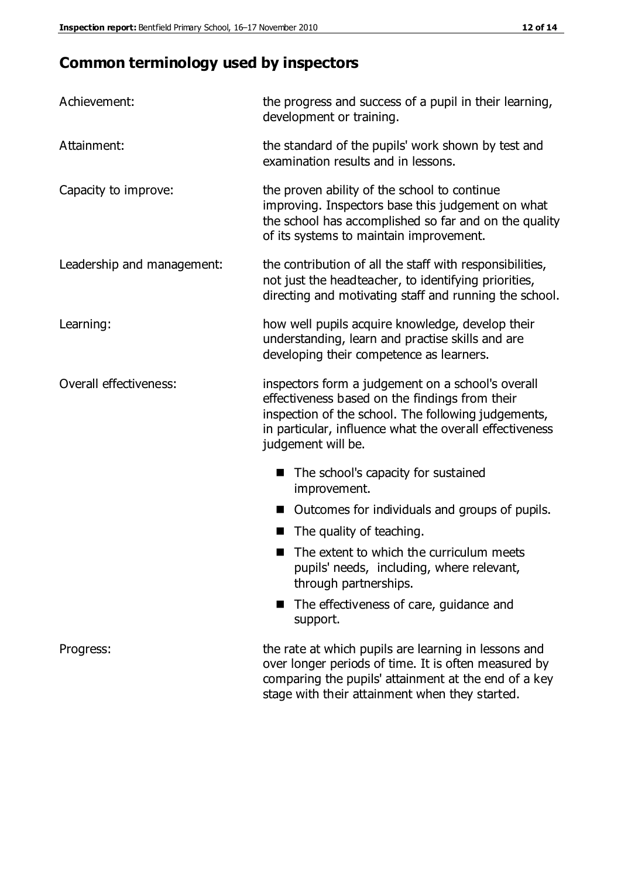# **Common terminology used by inspectors**

| Achievement:                  | the progress and success of a pupil in their learning,<br>development or training.                                                                                                                                                          |  |
|-------------------------------|---------------------------------------------------------------------------------------------------------------------------------------------------------------------------------------------------------------------------------------------|--|
| Attainment:                   | the standard of the pupils' work shown by test and<br>examination results and in lessons.                                                                                                                                                   |  |
| Capacity to improve:          | the proven ability of the school to continue<br>improving. Inspectors base this judgement on what<br>the school has accomplished so far and on the quality<br>of its systems to maintain improvement.                                       |  |
| Leadership and management:    | the contribution of all the staff with responsibilities,<br>not just the headteacher, to identifying priorities,<br>directing and motivating staff and running the school.                                                                  |  |
| Learning:                     | how well pupils acquire knowledge, develop their<br>understanding, learn and practise skills and are<br>developing their competence as learners.                                                                                            |  |
| <b>Overall effectiveness:</b> | inspectors form a judgement on a school's overall<br>effectiveness based on the findings from their<br>inspection of the school. The following judgements,<br>in particular, influence what the overall effectiveness<br>judgement will be. |  |
|                               | The school's capacity for sustained<br>improvement.                                                                                                                                                                                         |  |
|                               | Outcomes for individuals and groups of pupils.                                                                                                                                                                                              |  |
|                               | The quality of teaching.                                                                                                                                                                                                                    |  |
|                               | The extent to which the curriculum meets<br>pupils' needs, including, where relevant,<br>through partnerships.                                                                                                                              |  |
|                               | The effectiveness of care, guidance and<br>support.                                                                                                                                                                                         |  |
| Progress:                     | the rate at which pupils are learning in lessons and<br>over longer periods of time. It is often measured by<br>comparing the pupils' attainment at the end of a key                                                                        |  |

stage with their attainment when they started.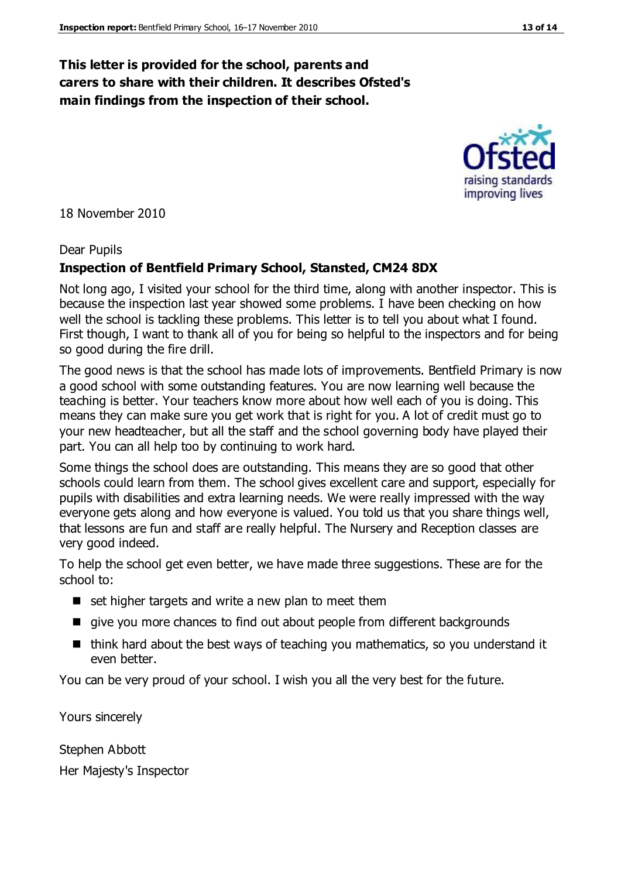#### **This letter is provided for the school, parents and carers to share with their children. It describes Ofsted's main findings from the inspection of their school.**

18 November 2010

#### Dear Pupils

#### **Inspection of Bentfield Primary School, Stansted, CM24 8DX**

Not long ago, I visited your school for the third time, along with another inspector. This is because the inspection last year showed some problems. I have been checking on how well the school is tackling these problems. This letter is to tell you about what I found. First though, I want to thank all of you for being so helpful to the inspectors and for being so good during the fire drill.

The good news is that the school has made lots of improvements. Bentfield Primary is now a good school with some outstanding features. You are now learning well because the teaching is better. Your teachers know more about how well each of you is doing. This means they can make sure you get work that is right for you. A lot of credit must go to your new headteacher, but all the staff and the school governing body have played their part. You can all help too by continuing to work hard.

Some things the school does are outstanding. This means they are so good that other schools could learn from them. The school gives excellent care and support, especially for pupils with disabilities and extra learning needs. We were really impressed with the way everyone gets along and how everyone is valued. You told us that you share things well, that lessons are fun and staff are really helpful. The Nursery and Reception classes are very good indeed.

To help the school get even better, we have made three suggestions. These are for the school to:

- $\blacksquare$  set higher targets and write a new plan to meet them
- qive you more chances to find out about people from different backgrounds
- $\blacksquare$  think hard about the best ways of teaching you mathematics, so you understand it even better.

You can be very proud of your school. I wish you all the very best for the future.

Yours sincerely

Stephen Abbott Her Majesty's Inspector